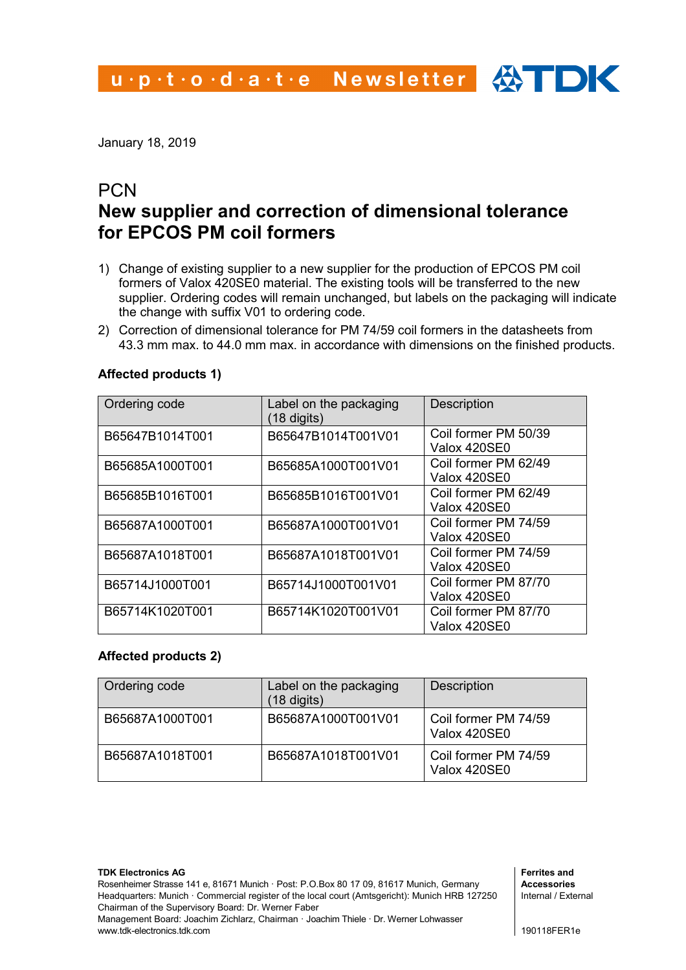January 18, 2019

## **PCN New supplier and correction of dimensional tolerance for EPCOS PM coil formers**

- 1) Change of existing supplier to a new supplier for the production of EPCOS PM coil formers of Valox 420SE0 material. The existing tools will be transferred to the new supplier. Ordering codes will remain unchanged, but labels on the packaging will indicate the change with suffix V01 to ordering code.
- 2) Correction of dimensional tolerance for PM 74/59 coil formers in the datasheets from 43.3 mm max. to 44.0 mm max. in accordance with dimensions on the finished products.

| Ordering code   | Label on the packaging<br>(18 digits) | <b>Description</b>                   |
|-----------------|---------------------------------------|--------------------------------------|
| B65647B1014T001 | B65647B1014T001V01                    | Coil former PM 50/39<br>Valox 420SE0 |
| B65685A1000T001 | B65685A1000T001V01                    | Coil former PM 62/49<br>Valox 420SE0 |
| B65685B1016T001 | B65685B1016T001V01                    | Coil former PM 62/49<br>Valox 420SE0 |
| B65687A1000T001 | B65687A1000T001V01                    | Coil former PM 74/59<br>Valox 420SE0 |
| B65687A1018T001 | B65687A1018T001V01                    | Coil former PM 74/59<br>Valox 420SE0 |
| B65714J1000T001 | B65714J1000T001V01                    | Coil former PM 87/70<br>Valox 420SE0 |
| B65714K1020T001 | B65714K1020T001V01                    | Coil former PM 87/70<br>Valox 420SE0 |

#### **Affected products 1)**

#### **Affected products 2)**

www.tdk-electronics.tdk.com

| Ordering code   | Label on the packaging<br>18 digits) | <b>Description</b>                   |
|-----------------|--------------------------------------|--------------------------------------|
| B65687A1000T001 | B65687A1000T001V01                   | Coil former PM 74/59<br>Valox 420SE0 |
| B65687A1018T001 | B65687A1018T001V01                   | Coil former PM 74/59<br>Valox 420SE0 |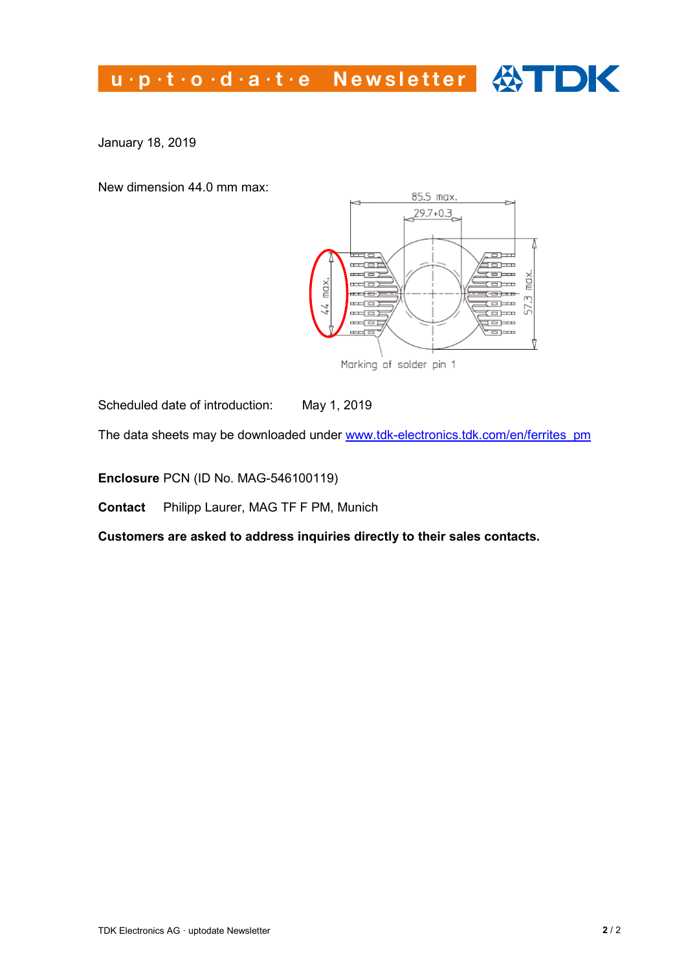# u.p.t.o.d.a.t.e Newsletter  $\bigoplus$  DK

January 18, 2019

New dimension 44.0 mm max:



Scheduled date of introduction: May 1, 2019

The data sheets may be downloaded under [www.tdk-electronics.tdk.com/en/ferrites\\_pm](http://www.tdk-electronics.tdk.com/en/ferrites_pm) 

**Enclosure** PCN (ID No. MAG-546100119)

**Contact** Philipp Laurer, MAG TF F PM, Munich

**Customers are asked to address inquiries directly to their sales contacts.**